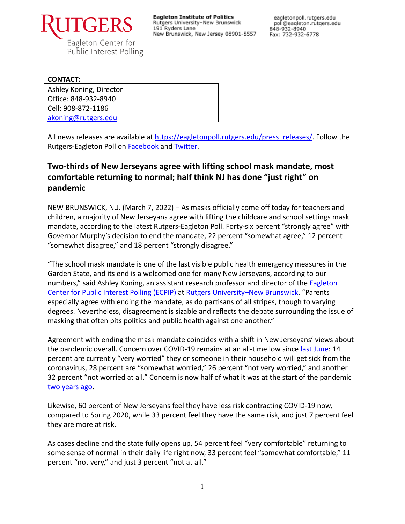

**Eagleton Institute of Politics** Rutgers University-New Brunswick 191 Ryders Lane New Brunswick, New Jersey 08901-8557

eagletonpoll.rutgers.edu poll@eagleton.rutgers.edu 848-932-8940 Fax: 732-932-6778

#### **CONTACT:**

Ashley Koning, Director Office: 848-932-8940 Cell: 908-872-1186 [akoning@rutgers.edu](mailto:akoning@rutgers.edu)

All news releases are available at [https://eagletonpoll.rutgers.edu/press\\_releases/](https://eagletonpoll.rutgers.edu/press_releases/). Follow the Rutgers-Eagleton Poll on [Facebook](https://www.facebook.com/RutgersEagletonPoll) and [Twitter](https://twitter.com/EagletonPoll).

# **Two-thirds of New Jerseyans agree with lifting school mask mandate, most comfortable returning to normal; half think NJ has done "just right" on pandemic**

NEW BRUNSWICK, N.J. (March 7, 2022) – As masks officially come off today for teachers and children, a majority of New Jerseyans agree with lifting the childcare and school settings mask mandate, according to the latest Rutgers-Eagleton Poll. Forty-six percent "strongly agree" with Governor Murphy's decision to end the mandate, 22 percent "somewhat agree," 12 percent "somewhat disagree," and 18 percent "strongly disagree."

"The school mask mandate is one of the last visible public health emergency measures in the Garden State, and its end is a welcomed one for many New Jerseyans, according to our numbers," said Ashley Koning, an assistant research professor and director of the **[Eagleton](http://eagletonpoll.rutgers.edu/)** [Center for Public Interest Polling \(ECPIP\)](http://eagletonpoll.rutgers.edu/) at Rutgers [University–New Brunswick.](https://newbrunswick.rutgers.edu/) "Parents especially agree with ending the mandate, as do partisans of all stripes, though to varying degrees. Nevertheless, disagreement is sizable and reflects the debate surrounding the issue of masking that often pits politics and public health against one another."

Agreement with ending the mask mandate coincides with a shift in New Jerseyans' views about the pandemic overall. Concern over COVID-19 remains at an all-time low since [last June:](https://eagletonpoll.rutgers.edu/wp-content/uploads/2021/06/Rutgers-Eagleton-Poll-COVID-6.3.21-FINAL.pdf) 14 percent are currently "very worried" they or someone in their household will get sick from the coronavirus, 28 percent are "somewhat worried," 26 percent "not very worried," and another 32 percent "not worried at all." Concern is now half of what it was at the start of the pandemic [two years ago.](https://eagletonpoll.rutgers.edu/wp-content/uploads/2020/05/NJ-Pandemic-Future-Reopening-and-Concerns.pdf)

Likewise, 60 percent of New Jerseyans feel they have less risk contracting COVID-19 now, compared to Spring 2020, while 33 percent feel they have the same risk, and just 7 percent feel they are more at risk.

As cases decline and the state fully opens up, 54 percent feel "very comfortable" returning to some sense of normal in their daily life right now, 33 percent feel "somewhat comfortable," 11 percent "not very," and just 3 percent "not at all."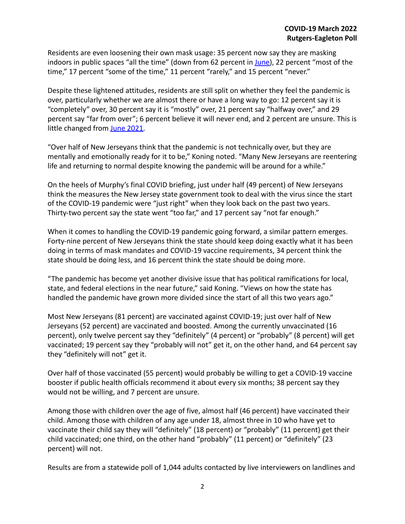Residents are even loosening their own mask usage: 35 percent now say they are masking indoors in public spaces "all the time" (down from 62 percent in [June\)](https://eagletonpoll.rutgers.edu/wp-content/uploads/2021/06/Rutgers-Eagleton-Poll-COVID-Life-6.4.21-FINAL.pdf), 22 percent "most of the time," 17 percent "some of the time," 11 percent "rarely," and 15 percent "never."

Despite these lightened attitudes, residents are still split on whether they feel the pandemic is over, particularly whether we are almost there or have a long way to go: 12 percent say it is "completely" over, 30 percent say it is "mostly" over, 21 percent say "halfway over," and 29 percent say "far from over"; 6 percent believe it will never end, and 2 percent are unsure. This is little changed from [June 2021.](https://eagletonpoll.rutgers.edu/wp-content/uploads/2021/06/Rutgers-Eagleton-Poll-COVID-Life-6.4.21-FINAL.pdf)

"Over half of New Jerseyans think that the pandemic is not technically over, but they are mentally and emotionally ready for it to be," Koning noted. "Many New Jerseyans are reentering life and returning to normal despite knowing the pandemic will be around for a while."

On the heels of Murphy's final COVID briefing, just under half (49 percent) of New Jerseyans think the measures the New Jersey state government took to deal with the virus since the start of the COVID-19 pandemic were "just right" when they look back on the past two years. Thirty-two percent say the state went "too far," and 17 percent say "not far enough."

When it comes to handling the COVID-19 pandemic going forward, a similar pattern emerges. Forty-nine percent of New Jerseyans think the state should keep doing exactly what it has been doing in terms of mask mandates and COVID-19 vaccine requirements, 34 percent think the state should be doing less, and 16 percent think the state should be doing more.

"The pandemic has become yet another divisive issue that has political ramifications for local, state, and federal elections in the near future," said Koning. "Views on how the state has handled the pandemic have grown more divided since the start of all this two years ago."

Most New Jerseyans (81 percent) are vaccinated against COVID-19; just over half of New Jerseyans (52 percent) are vaccinated and boosted. Among the currently unvaccinated (16 percent), only twelve percent say they "definitely" (4 percent) or "probably" (8 percent) will get vaccinated; 19 percent say they "probably will not" get it, on the other hand, and 64 percent say they "definitely will not" get it.

Over half of those vaccinated (55 percent) would probably be willing to get a COVID-19 vaccine booster if public health officials recommend it about every six months; 38 percent say they would not be willing, and 7 percent are unsure.

Among those with children over the age of five, almost half (46 percent) have vaccinated their child. Among those with children of any age under 18, almost three in 10 who have yet to vaccinate their child say they will "definitely" (18 percent) or "probably" (11 percent) get their child vaccinated; one third, on the other hand "probably" (11 percent) or "definitely" (23 percent) will not.

Results are from a statewide poll of 1,044 adults contacted by live interviewers on landlines and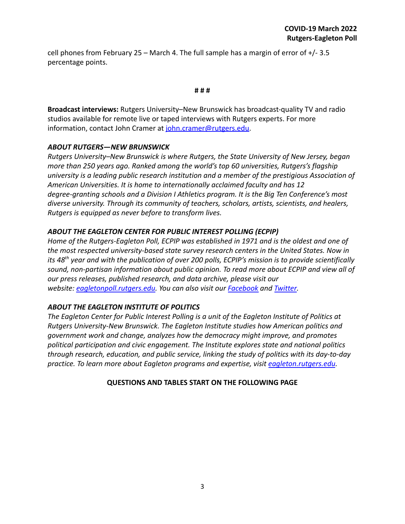cell phones from February 25 – March 4. The full sample has a margin of error of  $+/- 3.5$ percentage points.

#### **# # #**

**Broadcast interviews:** Rutgers University–New Brunswick has broadcast-quality TV and radio studios available for remote live or taped interviews with Rutgers experts. For more information, contact John Cramer at [john.cramer@rutgers.edu.](mailto:john.cramer@rutgers.edu)

#### *ABOUT RUTGERS—NEW BRUNSWICK*

*Rutgers University–New Brunswick is where Rutgers, the State University of New Jersey, began more than 250 years ago. Ranked among the world's top 60 universities, Rutgers's flagship university is a leading public research institution and a member of the prestigious Association of American Universities. It is home to internationally acclaimed faculty and has 12 degree-granting schools and a Division I Athletics program. It is the Big Ten Conference's most diverse university. Through its community of teachers, scholars, artists, scientists, and healers, Rutgers is equipped as never before to transform lives.*

### *ABOUT THE EAGLETON CENTER FOR PUBLIC INTEREST POLLING (ECPIP)*

*Home of the Rutgers-Eagleton Poll, ECPIP was established in 1971 and is the oldest and one of the most respected university-based state survey research centers in the United States. Now in its 48th year and with the publication of over 200 polls, ECPIP's mission is to provide scientifically sound, non-partisan information about public opinion. To read more about ECPIP and view all of our press releases, published research, and data archive, please visit our website: [eagletonpoll.rutgers.edu.](http://eagletonpoll.rutgers.edu/) You can also visit our [Facebook](https://www.facebook.com/RutgersEagletonPoll/) and [Twitter.](https://twitter.com/EagletonPoll)*

### *ABOUT THE EAGLETON INSTITUTE OF POLITICS*

*The Eagleton Center for Public Interest Polling is a unit of the Eagleton Institute of Politics at Rutgers University-New Brunswick. The Eagleton Institute studies how American politics and government work and change, analyzes how the democracy might improve, and promotes political participation and civic engagement. The Institute explores state and national politics through research, education, and public service, linking the study of politics with its day-to-day practice. To learn more about Eagleton programs and expertise, visit [eagleton.rutgers.edu](http://eagleton.rutgers.edu/).*

#### **QUESTIONS AND TABLES START ON THE FOLLOWING PAGE**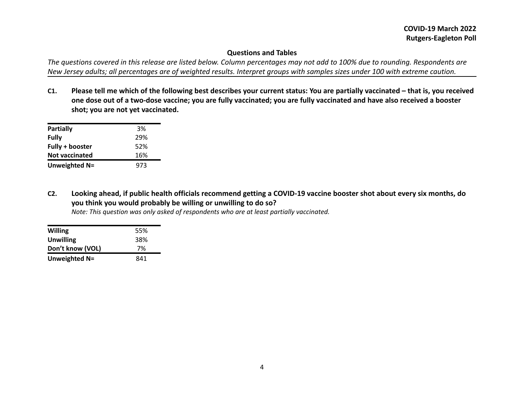### **Questions and Tables**

*The questions covered in this release are listed below. Column percentages may not add to 100% due to rounding. Respondents are New Jersey adults; all percentages are of weighted results. Interpret groups with samples sizes under 100 with extreme caution.*

**C1. Please tell me which of the following best describes your current status: You are partially vaccinated – that is, you received one dose out of a two-dose vaccine; you are fully vaccinated; you are fully vaccinated and have also received a booster shot; you are not yet vaccinated.**

| <b>Partially</b>      | 3%  |
|-----------------------|-----|
| <b>Fully</b>          | 29% |
| Fully + booster       | 52% |
| <b>Not vaccinated</b> | 16% |
| Unweighted N=         | 973 |

**C2. Looking ahead, if public health officials recommend getting a COVID-19 vaccine booster shot about every six months, do you think you would probably be willing or unwilling to do so?**

*Note: This question was only asked of respondents who are at least partially vaccinated.*

| <b>Willing</b>   | 55% |
|------------------|-----|
| <b>Unwilling</b> | 38% |
| Don't know (VOL) | 7%  |
| Unweighted N=    | 841 |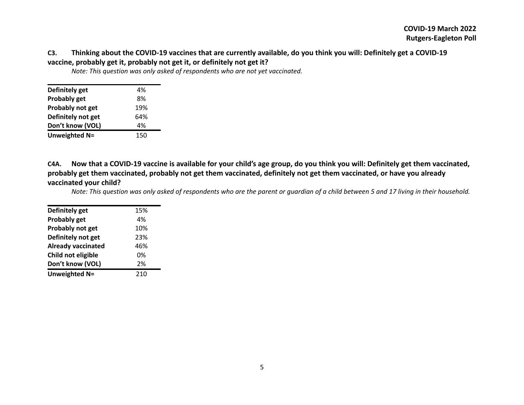### **C3. Thinking about the COVID-19 vaccines that are currently available, do you think you will: Definitely get a COVID-19 vaccine, probably get it, probably not get it, or definitely not get it?**

| Definitely get     | 4%  |
|--------------------|-----|
| Probably get       | 8%  |
| Probably not get   | 19% |
| Definitely not get | 64% |
| Don't know (VOL)   | 4%  |
| Unweighted N=      | 150 |

*Note: This question was only asked of respondents who are not yet vaccinated.*

**C4A. Now that a COVID-19 vaccine is available for your child's age group, do you think you will: Definitely get them vaccinated, probably get them vaccinated, probably not get them vaccinated, definitely not get them vaccinated, or have you already vaccinated your child?**

Note: This question was only asked of respondents who are the parent or guardian of a child between 5 and 17 living in their household.

| Definitely get<br>15%<br><b>Probably get</b><br>4%<br>Probably not get<br>10%<br>Definitely not get<br>23%<br><b>Already vaccinated</b><br>46%<br>Child not eligible<br>0%<br>Don't know (VOL)<br>2%<br>Unweighted N=<br>210 |  |
|------------------------------------------------------------------------------------------------------------------------------------------------------------------------------------------------------------------------------|--|
|                                                                                                                                                                                                                              |  |
|                                                                                                                                                                                                                              |  |
|                                                                                                                                                                                                                              |  |
|                                                                                                                                                                                                                              |  |
|                                                                                                                                                                                                                              |  |
|                                                                                                                                                                                                                              |  |
|                                                                                                                                                                                                                              |  |
|                                                                                                                                                                                                                              |  |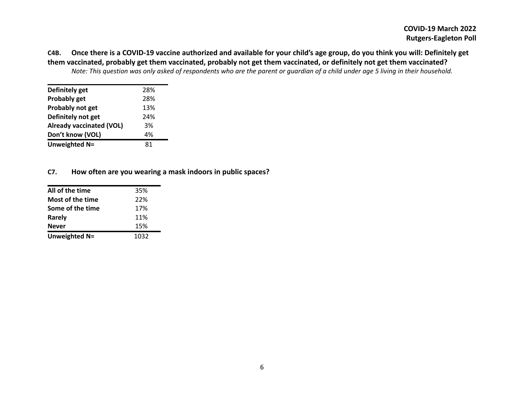**C4B. Once there is a COVID-19 vaccine authorized and available for your child's age group, do you think you will: Definitely get them vaccinated, probably get them vaccinated, probably not get them vaccinated, or definitely not get them vaccinated?** Note: This question was only asked of respondents who are the parent or guardian of a child under age 5 living in their household.

| Definitely get                  | 28% |
|---------------------------------|-----|
| Probably get                    | 28% |
| Probably not get                | 13% |
| Definitely not get              | 24% |
| <b>Already vaccinated (VOL)</b> | 3%  |
| Don't know (VOL)                | 4%  |
| Unweighted N=                   | 81  |
|                                 |     |

#### **C7. How often are you wearing a mask indoors in public spaces?**

| All of the time  | 35%  |
|------------------|------|
| Most of the time | 22%  |
| Some of the time | 17%  |
| Rarely           | 11%  |
| <b>Never</b>     | 15%  |
| Unweighted N=    | 1032 |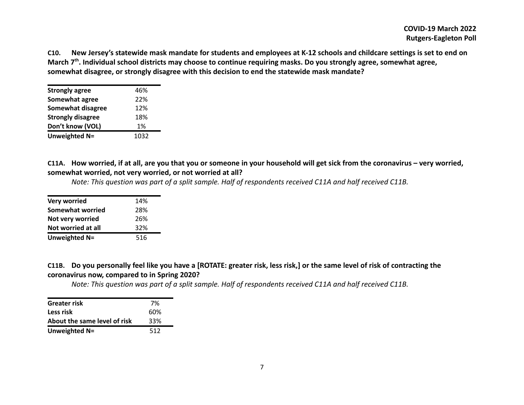**C10. New Jersey's statewide mask mandate for students and employees at K-12 schools and childcare settings is set to end on March 7th . Individual school districts may choose to continue requiring masks. Do you strongly agree, somewhat agree, somewhat disagree, or strongly disagree with this decision to end the statewide mask mandate?**

| <b>Strongly agree</b>    | 46%  |
|--------------------------|------|
| Somewhat agree           | 22%  |
| <b>Somewhat disagree</b> | 12%  |
| <b>Strongly disagree</b> | 18%  |
| Don't know (VOL)         | 1%   |
| Unweighted N=            | 1032 |

**C11A. How worried, if at all, are you that you or someone in your household will get sick from the coronavirus – very worried, somewhat worried, not very worried, or not worried at all?**

*Note: This question was part of a split sample. Half of respondents received C11A and half received C11B.*

| Very worried            | 14% |
|-------------------------|-----|
| <b>Somewhat worried</b> | 28% |
| Not very worried        | 26% |
| Not worried at all      | 32% |
| Unweighted N=           | 516 |

**C11B. Do you personally feel like you have a [ROTATE: greater risk, less risk,] or the same level of risk of contracting the coronavirus now, compared to in Spring 2020?**

*Note: This question was part of a split sample. Half of respondents received C11A and half received C11B.*

| <b>Greater risk</b>          | 7%  |
|------------------------------|-----|
| Less risk                    | 60% |
| About the same level of risk | 33% |
| Unweighted N=                | 512 |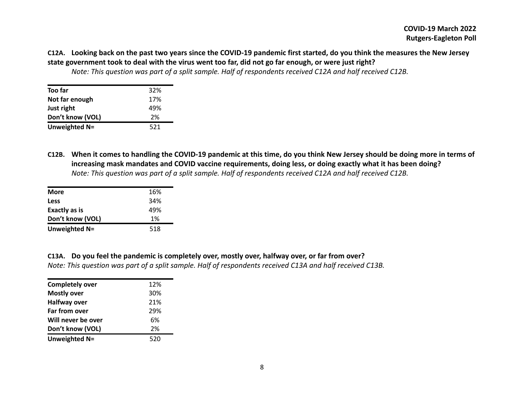## **C12A. Looking back on the past two years since the COVID-19 pandemic first started, do you think the measures the New Jersey state government took to deal with the virus went too far, did not go far enough, or were just right?**

*Note: This question was part of a split sample. Half of respondents received C12A and half received C12B.*

| Too far          | 32% |
|------------------|-----|
| Not far enough   | 17% |
| Just right       | 49% |
| Don't know (VOL) | 2%  |
| Unweighted N=    | 521 |

**C12B. When it comes to handling the COVID-19 pandemic at this time, do you think New Jersey should be doing more in terms of increasing mask mandates and COVID vaccine requirements, doing less, or doing exactly what it has been doing?** *Note: This question was part of a split sample. Half of respondents received C12A and half received C12B.*

| <b>More</b>      | 16% |
|------------------|-----|
| <b>Less</b>      | 34% |
| Exactly as is    | 49% |
| Don't know (VOL) | 1%  |
| Unweighted N=    | 518 |

| C13A. Do you feel the pandemic is completely over, mostly over, halfway over, or far from over?           |
|-----------------------------------------------------------------------------------------------------------|
| Note: This question was part of a split sample. Half of respondents received C13A and half received C13B. |

| <b>Completely over</b> | 12% |
|------------------------|-----|
| <b>Mostly over</b>     | 30% |
| <b>Halfway over</b>    | 21% |
| Far from over          | 29% |
| Will never be over     | 6%  |
| Don't know (VOL)       | 2%  |
| Unweighted N=          | 520 |
|                        |     |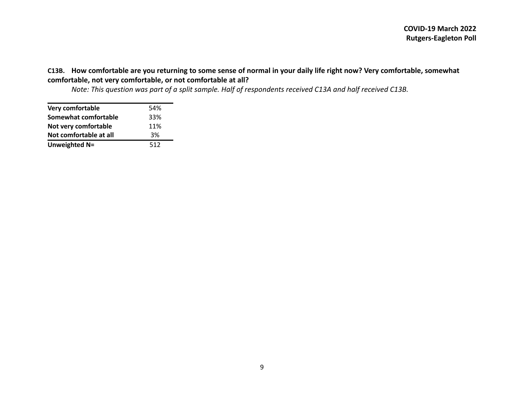### **C13B. How comfortable are you returning to some sense of normal in your daily life right now? Very comfortable, somewhat comfortable, not very comfortable, or not comfortable at all?**

*Note: This question was part of a split sample. Half of respondents received C13A and half received C13B.*

| <b>Very comfortable</b> | 54% |
|-------------------------|-----|
| Somewhat comfortable    | 33% |
| Not very comfortable    | 11% |
| Not comfortable at all  | 3%  |
| Unweighted N=           | 512 |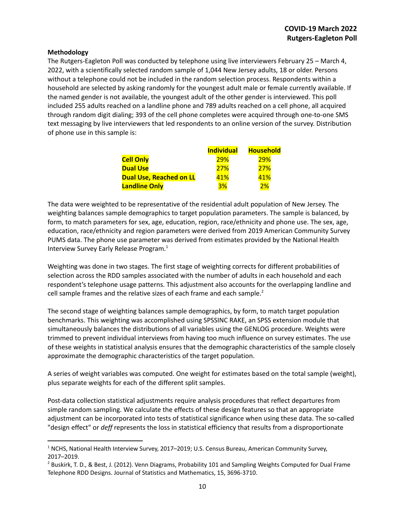#### **Methodology**

The Rutgers-Eagleton Poll was conducted by telephone using live interviewers February 25 – March 4, 2022, with a scientifically selected random sample of 1,044 New Jersey adults, 18 or older. Persons without a telephone could not be included in the random selection process. Respondents within a household are selected by asking randomly for the youngest adult male or female currently available. If the named gender is not available, the youngest adult of the other gender is interviewed. This poll included 255 adults reached on a landline phone and 789 adults reached on a cell phone, all acquired through random digit dialing; 393 of the cell phone completes were acquired through one-to-one SMS text messaging by live interviewers that led respondents to an online version of the survey. Distribution of phone use in this sample is:

|                                | <b>Individual</b> | <b>Household</b> |  |  |
|--------------------------------|-------------------|------------------|--|--|
| <b>Cell Only</b>               | 29%               | 29%              |  |  |
| <b>Dual Use</b>                | 27%               | 27%              |  |  |
| <b>Dual Use, Reached on LL</b> | 41%               | 41%              |  |  |
| <b>Landline Only</b>           | 3%                | 2%               |  |  |

The data were weighted to be representative of the residential adult population of New Jersey. The weighting balances sample demographics to target population parameters. The sample is balanced, by form, to match parameters for sex, age, education, region, race/ethnicity and phone use. The sex, age, education, race/ethnicity and region parameters were derived from 2019 American Community Survey PUMS data. The phone use parameter was derived from estimates provided by the National Health Interview Survey Early Release Program. 1

Weighting was done in two stages. The first stage of weighting corrects for different probabilities of selection across the RDD samples associated with the number of adults in each household and each respondent's telephone usage patterns. This adjustment also accounts for the overlapping landline and cell sample frames and the relative sizes of each frame and each sample.<sup>2</sup>

The second stage of weighting balances sample demographics, by form, to match target population benchmarks. This weighting was accomplished using SPSSINC RAKE, an SPSS extension module that simultaneously balances the distributions of all variables using the GENLOG procedure. Weights were trimmed to prevent individual interviews from having too much influence on survey estimates. The use of these weights in statistical analysis ensures that the demographic characteristics of the sample closely approximate the demographic characteristics of the target population.

A series of weight variables was computed. One weight for estimates based on the total sample (weight), plus separate weights for each of the different split samples.

Post-data collection statistical adjustments require analysis procedures that reflect departures from simple random sampling. We calculate the effects of these design features so that an appropriate adjustment can be incorporated into tests of statistical significance when using these data. The so-called "design effect" or *deff* represents the loss in statistical efficiency that results from a disproportionate

<sup>&</sup>lt;sup>1</sup> NCHS, National Health Interview Survey, 2017–2019; U.S. Census Bureau, American Community Survey, 2017–2019.

<sup>&</sup>lt;sup>2</sup> Buskirk, T. D., & Best, J. (2012). Venn Diagrams, Probability 101 and Sampling Weights Computed for Dual Frame Telephone RDD Designs. Journal of Statistics and Mathematics, 15, 3696-3710.